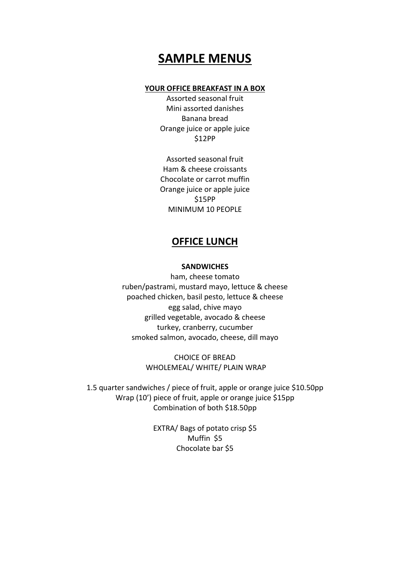# **SAMPLE MENUS**

#### **YOUR OFFICE BREAKFAST IN A BOX**

Assorted seasonal fruit Mini assorted danishes Banana bread Orange juice or apple juice \$12PP

Assorted seasonal fruit Ham & cheese croissants Chocolate or carrot muffin Orange juice or apple juice \$15PP MINIMUM 10 PEOPLE

# **OFFICE LUNCH**

#### **SANDWICHES**

ham, cheese tomato ruben/pastrami, mustard mayo, lettuce & cheese poached chicken, basil pesto, lettuce & cheese egg salad, chive mayo grilled vegetable, avocado & cheese turkey, cranberry, cucumber smoked salmon, avocado, cheese, dill mayo

> CHOICE OF BREAD WHOLEMEAL/ WHITE/ PLAIN WRAP

1.5 quarter sandwiches / piece of fruit, apple or orange juice \$10.50pp Wrap (10') piece of fruit, apple or orange juice \$15pp Combination of both \$18.50pp

> EXTRA/ Bags of potato crisp \$5 Muffin \$5 Chocolate bar \$5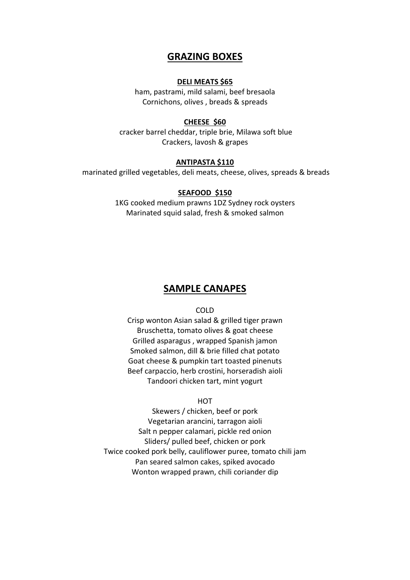# **GRAZING BOXES**

#### **DELI MEATS \$65**

ham, pastrami, mild salami, beef bresaola Cornichons, olives , breads & spreads

#### **CHEESE \$60**

 cracker barrel cheddar, triple brie, Milawa soft blue Crackers, lavosh & grapes

#### **ANTIPASTA \$110**

marinated grilled vegetables, deli meats, cheese, olives, spreads & breads

#### **SEAFOOD \$150**

1KG cooked medium prawns 1DZ Sydney rock oysters Marinated squid salad, fresh & smoked salmon

## **SAMPLE CANAPES**

COLD

Crisp wonton Asian salad & grilled tiger prawn Bruschetta, tomato olives & goat cheese Grilled asparagus , wrapped Spanish jamon Smoked salmon, dill & brie filled chat potato Goat cheese & pumpkin tart toasted pinenuts Beef carpaccio, herb crostini, horseradish aioli Tandoori chicken tart, mint yogurt

## **HOT**

Skewers / chicken, beef or pork Vegetarian arancini, tarragon aioli Salt n pepper calamari, pickle red onion Sliders/ pulled beef, chicken or pork Twice cooked pork belly, cauliflower puree, tomato chili jam Pan seared salmon cakes, spiked avocado Wonton wrapped prawn, chili coriander dip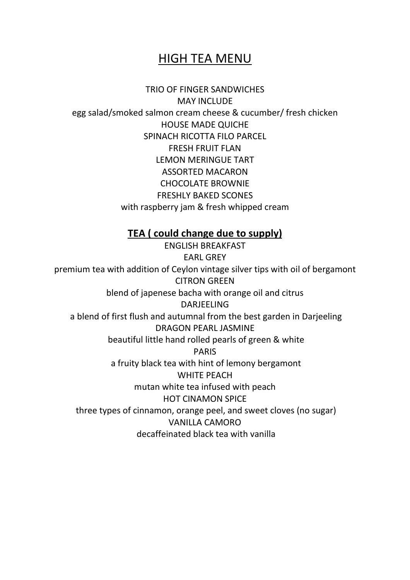# HIGH TEA MENU

TRIO OF FINGER SANDWICHES MAY INCLUDE egg salad/smoked salmon cream cheese & cucumber/ fresh chicken HOUSE MADE QUICHE SPINACH RICOTTA FILO PARCEL FRESH FRUIT FLAN LEMON MERINGUE TART ASSORTED MACARON CHOCOLATE BROWNIE FRESHLY BAKED SCONES with raspberry jam & fresh whipped cream

# **TEA ( could change due to supply)**

ENGLISH BREAKFAST EARL GREY premium tea with addition of Ceylon vintage silver tips with oil of bergamont CITRON GREEN blend of japenese bacha with orange oil and citrus DARJEELING a blend of first flush and autumnal from the best garden in Darjeeling DRAGON PEARL JASMINE beautiful little hand rolled pearls of green & white PARIS a fruity black tea with hint of lemony bergamont WHITE PEACH mutan white tea infused with peach HOT CINAMON SPICE three types of cinnamon, orange peel, and sweet cloves (no sugar) VANILLA CAMORO decaffeinated black tea with vanilla